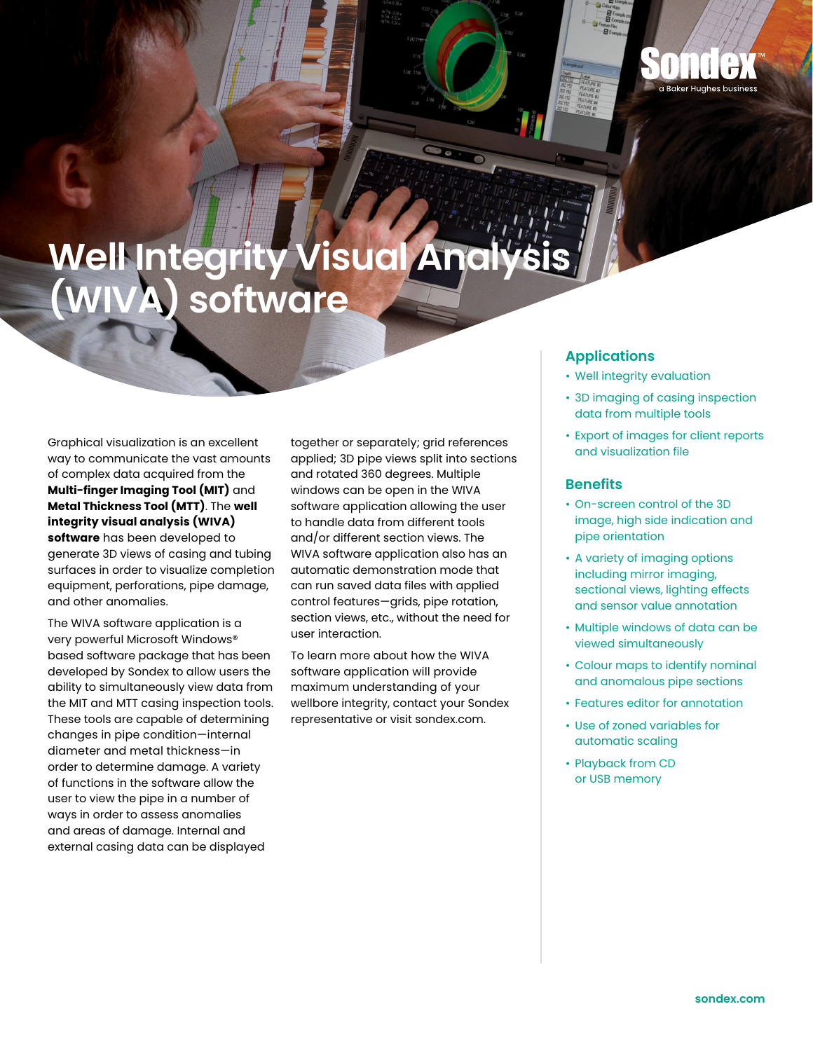## **Well Integrity Visual Analysis (WIVA) software**

Graphical visualization is an excellent way to communicate the vast amounts of complex data acquired from the **Multi-finger Imaging Tool (MIT)** and **Metal Thickness Tool (MTT)**. The **well integrity visual analysis (WIVA) software** has been developed to generate 3D views of casing and tubing surfaces in order to visualize completion equipment, perforations, pipe damage, and other anomalies.

The WIVA software application is a very powerful Microsoft Windows® based software package that has been developed by Sondex to allow users the ability to simultaneously view data from the MIT and MTT casing inspection tools. These tools are capable of determining changes in pipe condition—internal diameter and metal thickness—in order to determine damage. A variety of functions in the software allow the user to view the pipe in a number of ways in order to assess anomalies and areas of damage. Internal and external casing data can be displayed

together or separately; grid references applied; 3D pipe views split into sections and rotated 360 degrees. Multiple windows can be open in the WIVA software application allowing the user to handle data from different tools and/or different section views. The WIVA software application also has an automatic demonstration mode that can run saved data files with applied control features—grids, pipe rotation, section views, etc., without the need for user interaction.

To learn more about how the WIVA software application will provide maximum understanding of your wellbore integrity, contact your Sondex representative or visit sondex.com.

## **Applications**

- Well integrity evaluation
- 3D imaging of casing inspection data from multiple tools

a Baker Huahes business

• Export of images for client reports and visualization file

## **Benefits**

- On-screen control of the 3D image, high side indication and pipe orientation
- A variety of imaging options including mirror imaging, sectional views, lighting effects and sensor value annotation
- Multiple windows of data can be viewed simultaneously
- Colour maps to identify nominal and anomalous pipe sections
- Features editor for annotation
- Use of zoned variables for automatic scaling
- Playback from CD or USB memory